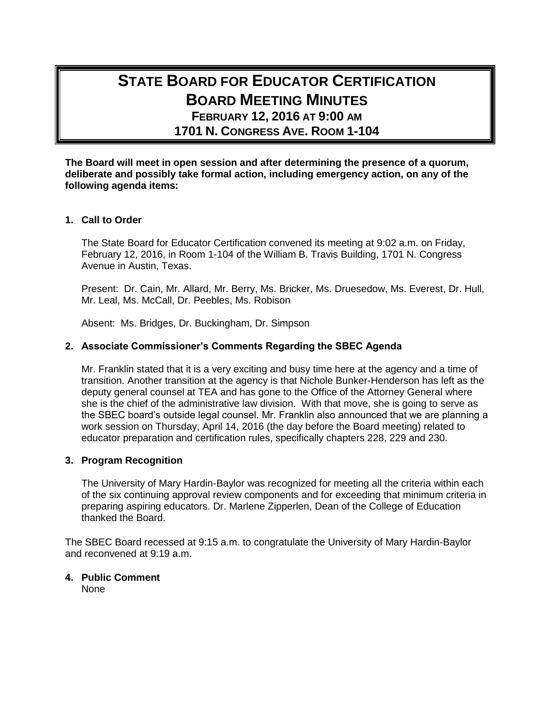# **STATE BOARD FOR EDUCATOR CERTIFICATION BOARD MEETING MINUTES FEBRUARY 12, 2016 AT 9:00 AM**

**1701 N. CONGRESS AVE. ROOM 1-104**

**The Board will meet in open session and after determining the presence of a quorum, deliberate and possibly take formal action, including emergency action, on any of the following agenda items:**

## **1. Call to Order**

The State Board for Educator Certification convened its meeting at 9:02 a.m. on Friday, February 12, 2016, in Room 1-104 of the William B. Travis Building, 1701 N. Congress Avenue in Austin, Texas.

Present: Dr. Cain, Mr. Allard, Mr. Berry, Ms. Bricker, Ms. Druesedow, Ms. Everest, Dr. Hull, Mr. Leal, Ms. McCall, Dr. Peebles, Ms. Robison

Absent: Ms. Bridges, Dr. Buckingham, Dr. Simpson

# **2. Associate Commissioner's Comments Regarding the SBEC Agenda**

Mr. Franklin stated that it is a very exciting and busy time here at the agency and a time of transition. Another transition at the agency is that Nichole Bunker-Henderson has left as the deputy general counsel at TEA and has gone to the Office of the Attorney General where she is the chief of the administrative law division. With that move, she is going to serve as the SBEC board's outside legal counsel. Mr. Franklin also announced that we are planning a work session on Thursday, April 14, 2016 (the day before the Board meeting) related to educator preparation and certification rules, specifically chapters 228, 229 and 230.

#### **3. Program Recognition**

The University of Mary Hardin-Baylor was recognized for meeting all the criteria within each of the six continuing approval review components and for exceeding that minimum criteria in preparing aspiring educators. Dr. Marlene Zipperlen, Dean of the College of Education thanked the Board.

The SBEC Board recessed at 9:15 a.m. to congratulate the University of Mary Hardin-Baylor and reconvened at 9:19 a.m.

# **4. Public Comment**

None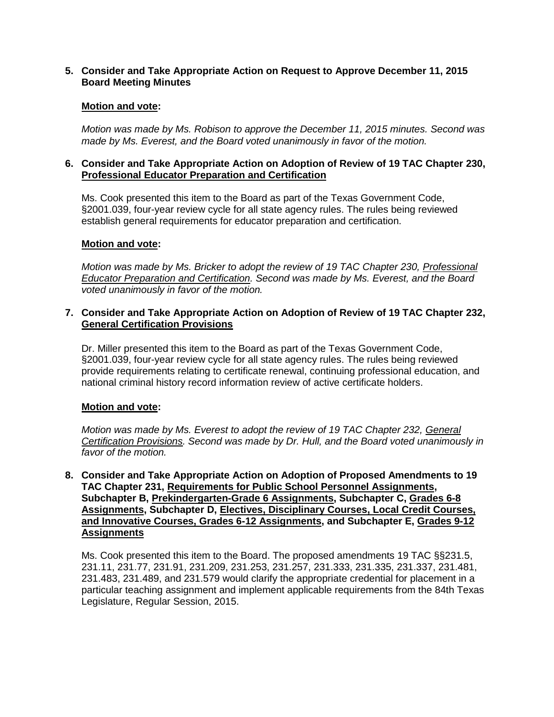## **5. Consider and Take Appropriate Action on Request to Approve December 11, 2015 Board Meeting Minutes**

## **Motion and vote:**

*Motion was made by Ms. Robison to approve the December 11, 2015 minutes. Second was made by Ms. Everest, and the Board voted unanimously in favor of the motion.*

## **6. Consider and Take Appropriate Action on Adoption of Review of 19 TAC Chapter 230, Professional Educator Preparation and Certification**

Ms. Cook presented this item to the Board as part of the Texas Government Code, §2001.039, four-year review cycle for all state agency rules. The rules being reviewed establish general requirements for educator preparation and certification.

## **Motion and vote:**

*Motion was made by Ms. Bricker to adopt the review of 19 TAC Chapter 230, Professional Educator Preparation and Certification. Second was made by Ms. Everest, and the Board voted unanimously in favor of the motion.*

#### **7. Consider and Take Appropriate Action on Adoption of Review of 19 TAC Chapter 232, General Certification Provisions**

Dr. Miller presented this item to the Board as part of the Texas Government Code, §2001.039, four-year review cycle for all state agency rules. The rules being reviewed provide requirements relating to certificate renewal, continuing professional education, and national criminal history record information review of active certificate holders.

# **Motion and vote:**

*Motion was made by Ms. Everest to adopt the review of 19 TAC Chapter 232, General Certification Provisions. Second was made by Dr. Hull, and the Board voted unanimously in favor of the motion.*

# **8. Consider and Take Appropriate Action on Adoption of Proposed Amendments to 19 TAC Chapter 231, Requirements for Public School Personnel Assignments, Subchapter B, Prekindergarten-Grade 6 Assignments, Subchapter C, Grades 6-8 Assignments, Subchapter D, Electives, Disciplinary Courses, Local Credit Courses, and Innovative Courses, Grades 6-12 Assignments, and Subchapter E, Grades 9-12 Assignments**

Ms. Cook presented this item to the Board. The proposed amendments 19 TAC §§231.5, 231.11, 231.77, 231.91, 231.209, 231.253, 231.257, 231.333, 231.335, 231.337, 231.481, 231.483, 231.489, and 231.579 would clarify the appropriate credential for placement in a particular teaching assignment and implement applicable requirements from the 84th Texas Legislature, Regular Session, 2015.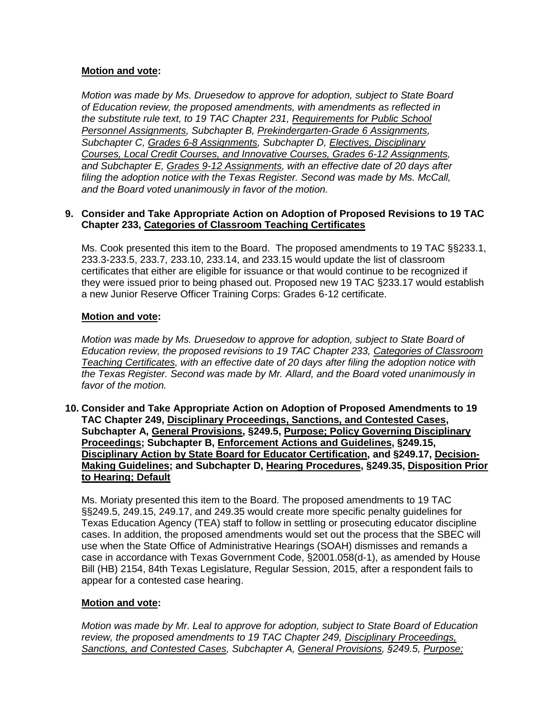# **Motion and vote:**

*Motion was made by Ms. Druesedow to approve for adoption, subject to State Board of Education review, the proposed amendments, with amendments as reflected in the substitute rule text, to 19 TAC Chapter 231, Requirements for Public School Personnel Assignments, Subchapter B, Prekindergarten-Grade 6 Assignments, Subchapter C, Grades 6-8 Assignments, Subchapter D, Electives, Disciplinary Courses, Local Credit Courses, and Innovative Courses, Grades 6-12 Assignments, and Subchapter E, Grades 9-12 Assignments, with an effective date of 20 days after filing the adoption notice with the Texas Register. Second was made by Ms. McCall, and the Board voted unanimously in favor of the motion.*

## **9. Consider and Take Appropriate Action on Adoption of Proposed Revisions to 19 TAC Chapter 233, Categories of Classroom Teaching Certificates**

Ms. Cook presented this item to the Board. The proposed amendments to 19 TAC §§233.1, 233.3-233.5, 233.7, 233.10, 233.14, and 233.15 would update the list of classroom certificates that either are eligible for issuance or that would continue to be recognized if they were issued prior to being phased out. Proposed new 19 TAC §233.17 would establish a new Junior Reserve Officer Training Corps: Grades 6-12 certificate.

# **Motion and vote:**

*Motion was made by Ms. Druesedow to approve for adoption, subject to State Board of Education review, the proposed revisions to 19 TAC Chapter 233, Categories of Classroom Teaching Certificates, with an effective date of 20 days after filing the adoption notice with the Texas Register. Second was made by Mr. Allard, and the Board voted unanimously in favor of the motion.*

## **10. Consider and Take Appropriate Action on Adoption of Proposed Amendments to 19 TAC Chapter 249, Disciplinary Proceedings, Sanctions, and Contested Cases, Subchapter A, General Provisions, §249.5, Purpose; Policy Governing Disciplinary Proceedings; Subchapter B, Enforcement Actions and Guidelines, §249.15, Disciplinary Action by State Board for Educator Certification, and §249.17, Decision-Making Guidelines; and Subchapter D, Hearing Procedures, §249.35, Disposition Prior to Hearing; Default**

Ms. Moriaty presented this item to the Board. The proposed amendments to 19 TAC §§249.5, 249.15, 249.17, and 249.35 would create more specific penalty guidelines for Texas Education Agency (TEA) staff to follow in settling or prosecuting educator discipline cases. In addition, the proposed amendments would set out the process that the SBEC will use when the State Office of Administrative Hearings (SOAH) dismisses and remands a case in accordance with Texas Government Code, §2001.058(d-1), as amended by House Bill (HB) 2154, 84th Texas Legislature, Regular Session, 2015, after a respondent fails to appear for a contested case hearing.

#### **Motion and vote:**

*Motion was made by Mr. Leal to approve for adoption, subject to State Board of Education review, the proposed amendments to 19 TAC Chapter 249, Disciplinary Proceedings, Sanctions, and Contested Cases, Subchapter A, General Provisions, §249.5, Purpose;*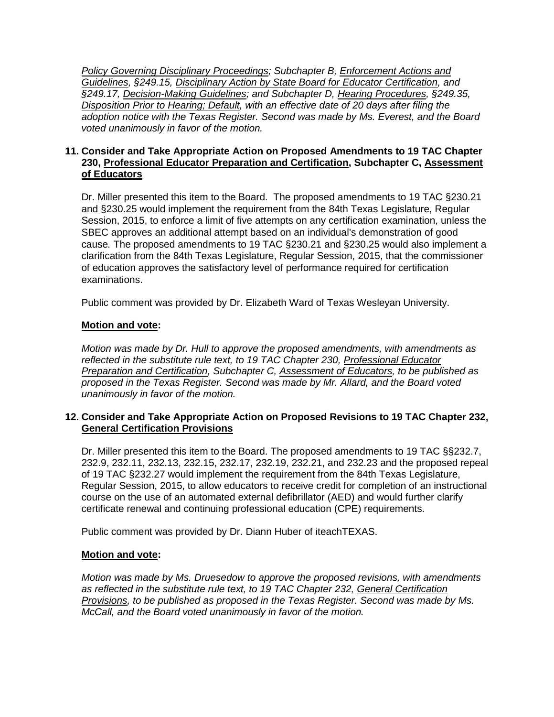*Policy Governing Disciplinary Proceedings; Subchapter B, Enforcement Actions and Guidelines, §249.15, Disciplinary Action by State Board for Educator Certification, and §249.17, Decision-Making Guidelines; and Subchapter D, Hearing Procedures, §249.35, Disposition Prior to Hearing; Default, with an effective date of 20 days after filing the adoption notice with the Texas Register. Second was made by Ms. Everest, and the Board voted unanimously in favor of the motion.*

# **11. Consider and Take Appropriate Action on Proposed Amendments to 19 TAC Chapter 230, Professional Educator Preparation and Certification, Subchapter C, Assessment of Educators**

Dr. Miller presented this item to the Board. The proposed amendments to 19 TAC §230.21 and §230.25 would implement the requirement from the 84th Texas Legislature, Regular Session, 2015, to enforce a limit of five attempts on any certification examination, unless the SBEC approves an additional attempt based on an individual's demonstration of good cause*.* The proposed amendments to 19 TAC §230.21 and §230.25 would also implement a clarification from the 84th Texas Legislature, Regular Session, 2015, that the commissioner of education approves the satisfactory level of performance required for certification examinations.

Public comment was provided by Dr. Elizabeth Ward of Texas Wesleyan University.

# **Motion and vote:**

*Motion was made by Dr. Hull to approve the proposed amendments, with amendments as reflected in the substitute rule text, to 19 TAC Chapter 230, Professional Educator Preparation and Certification, Subchapter C, Assessment of Educators, to be published as proposed in the Texas Register. Second was made by Mr. Allard, and the Board voted unanimously in favor of the motion.*

# **12. Consider and Take Appropriate Action on Proposed Revisions to 19 TAC Chapter 232, General Certification Provisions**

Dr. Miller presented this item to the Board. The proposed amendments to 19 TAC §§232.7, 232.9, 232.11, 232.13, 232.15, 232.17, 232.19, 232.21, and 232.23 and the proposed repeal of 19 TAC §232.27 would implement the requirement from the 84th Texas Legislature, Regular Session, 2015, to allow educators to receive credit for completion of an instructional course on the use of an automated external defibrillator (AED) and would further clarify certificate renewal and continuing professional education (CPE) requirements.

Public comment was provided by Dr. Diann Huber of iteachTEXAS.

# **Motion and vote:**

*Motion was made by Ms. Druesedow to approve the proposed revisions, with amendments as reflected in the substitute rule text, to 19 TAC Chapter 232, General Certification Provisions, to be published as proposed in the Texas Register. Second was made by Ms. McCall, and the Board voted unanimously in favor of the motion.*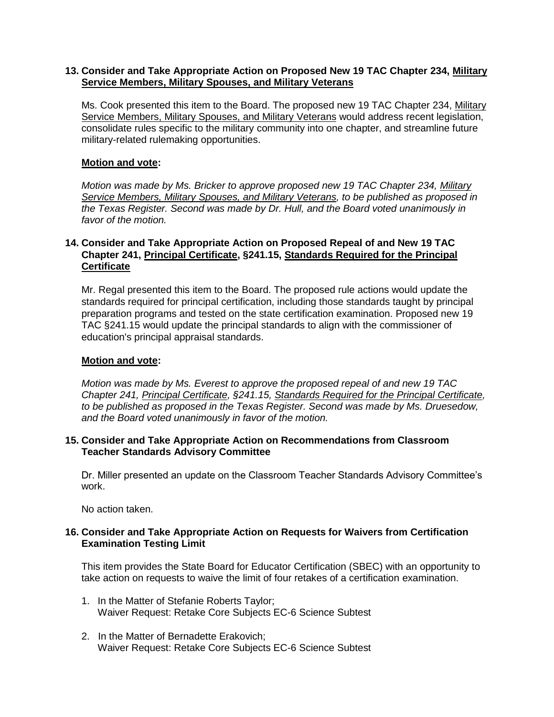## **13. Consider and Take Appropriate Action on Proposed New 19 TAC Chapter 234, Military Service Members, Military Spouses, and Military Veterans**

Ms. Cook presented this item to the Board. The proposed new 19 TAC Chapter 234, Military Service Members, Military Spouses, and Military Veterans would address recent legislation, consolidate rules specific to the military community into one chapter, and streamline future military-related rulemaking opportunities.

# **Motion and vote:**

*Motion was made by Ms. Bricker to approve proposed new 19 TAC Chapter 234, Military Service Members, Military Spouses, and Military Veterans, to be published as proposed in the Texas Register. Second was made by Dr. Hull, and the Board voted unanimously in favor of the motion.*

# **14. Consider and Take Appropriate Action on Proposed Repeal of and New 19 TAC Chapter 241, Principal Certificate, §241.15, Standards Required for the Principal Certificate**

Mr. Regal presented this item to the Board. The proposed rule actions would update the standards required for principal certification, including those standards taught by principal preparation programs and tested on the state certification examination. Proposed new 19 TAC §241.15 would update the principal standards to align with the commissioner of education's principal appraisal standards.

# **Motion and vote:**

*Motion was made by Ms. Everest to approve the proposed repeal of and new 19 TAC Chapter 241, Principal Certificate, §241.15, Standards Required for the Principal Certificate, to be published as proposed in the Texas Register. Second was made by Ms. Druesedow, and the Board voted unanimously in favor of the motion.*

# **15. Consider and Take Appropriate Action on Recommendations from Classroom Teacher Standards Advisory Committee**

Dr. Miller presented an update on the Classroom Teacher Standards Advisory Committee's work.

No action taken.

# **16. Consider and Take Appropriate Action on Requests for Waivers from Certification Examination Testing Limit**

This item provides the State Board for Educator Certification (SBEC) with an opportunity to take action on requests to waive the limit of four retakes of a certification examination.

- 1. In the Matter of Stefanie Roberts Taylor; Waiver Request: Retake Core Subjects EC-6 Science Subtest
- 2. In the Matter of Bernadette Erakovich; Waiver Request: Retake Core Subjects EC-6 Science Subtest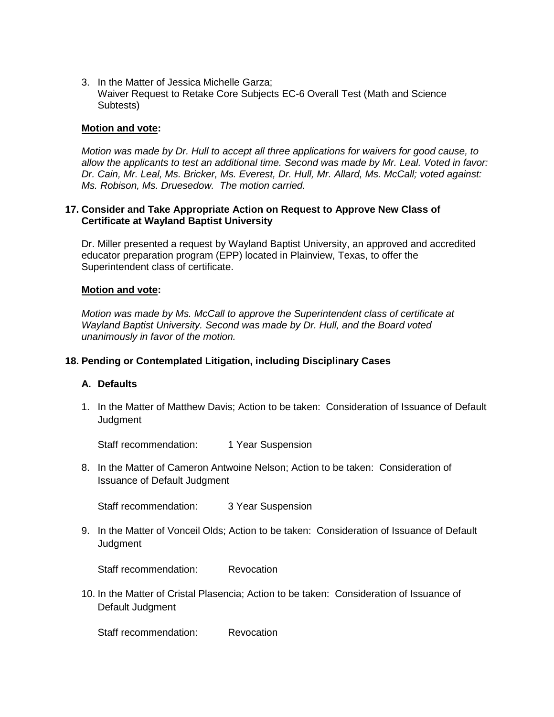3. In the Matter of Jessica Michelle Garza; Waiver Request to Retake Core Subjects EC-6 Overall Test (Math and Science Subtests)

#### **Motion and vote:**

*Motion was made by Dr. Hull to accept all three applications for waivers for good cause, to allow the applicants to test an additional time. Second was made by Mr. Leal. Voted in favor: Dr. Cain, Mr. Leal, Ms. Bricker, Ms. Everest, Dr. Hull, Mr. Allard, Ms. McCall; voted against: Ms. Robison, Ms. Druesedow. The motion carried.*

#### **17. Consider and Take Appropriate Action on Request to Approve New Class of Certificate at Wayland Baptist University**

Dr. Miller presented a request by Wayland Baptist University, an approved and accredited educator preparation program (EPP) located in Plainview, Texas, to offer the Superintendent class of certificate.

#### **Motion and vote:**

*Motion was made by Ms. McCall to approve the Superintendent class of certificate at Wayland Baptist University. Second was made by Dr. Hull, and the Board voted unanimously in favor of the motion.*

#### **18. Pending or Contemplated Litigation, including Disciplinary Cases**

## **A. Defaults**

1. In the Matter of Matthew Davis; Action to be taken: Consideration of Issuance of Default **Judgment** 

Staff recommendation: 1 Year Suspension

8. In the Matter of Cameron Antwoine Nelson; Action to be taken: Consideration of Issuance of Default Judgment

Staff recommendation: 3 Year Suspension

9. In the Matter of Vonceil Olds; Action to be taken: Consideration of Issuance of Default **Judament** 

Staff recommendation: Revocation

10. In the Matter of Cristal Plasencia; Action to be taken: Consideration of Issuance of Default Judgment

Staff recommendation: Revocation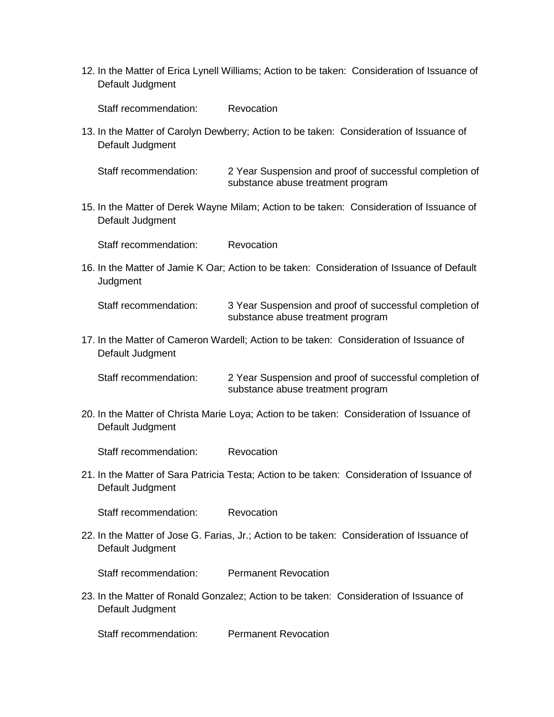12. In the Matter of Erica Lynell Williams; Action to be taken: Consideration of Issuance of Default Judgment

Staff recommendation: Revocation

13. In the Matter of Carolyn Dewberry; Action to be taken: Consideration of Issuance of Default Judgment

Staff recommendation: 2 Year Suspension and proof of successful completion of substance abuse treatment program

15. In the Matter of Derek Wayne Milam; Action to be taken: Consideration of Issuance of Default Judgment

Staff recommendation: Revocation

16. In the Matter of Jamie K Oar; Action to be taken: Consideration of Issuance of Default **Judgment** 

Staff recommendation: 3 Year Suspension and proof of successful completion of substance abuse treatment program

17. In the Matter of Cameron Wardell; Action to be taken: Consideration of Issuance of Default Judgment

Staff recommendation: 2 Year Suspension and proof of successful completion of substance abuse treatment program

20. In the Matter of Christa Marie Loya; Action to be taken: Consideration of Issuance of Default Judgment

Staff recommendation: Revocation

21. In the Matter of Sara Patricia Testa; Action to be taken: Consideration of Issuance of Default Judgment

Staff recommendation: Revocation

22. In the Matter of Jose G. Farias, Jr.; Action to be taken: Consideration of Issuance of Default Judgment

Staff recommendation: Permanent Revocation

23. In the Matter of Ronald Gonzalez; Action to be taken: Consideration of Issuance of Default Judgment

Staff recommendation: Permanent Revocation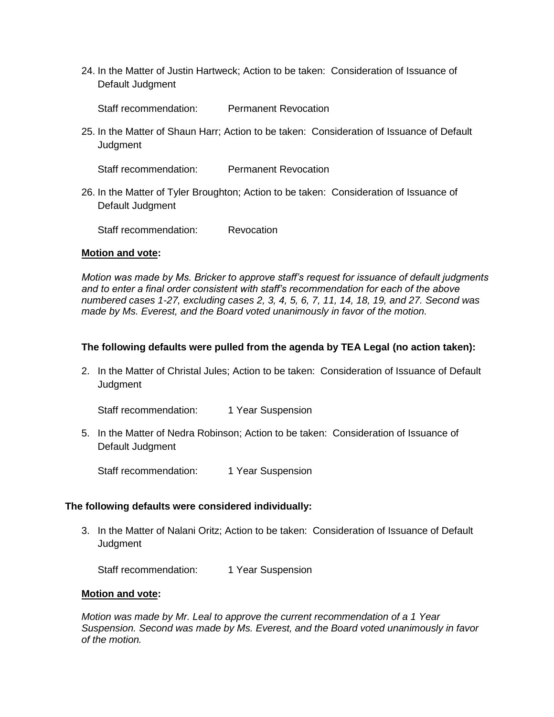24. In the Matter of Justin Hartweck; Action to be taken: Consideration of Issuance of Default Judgment

Staff recommendation: Permanent Revocation

25. In the Matter of Shaun Harr; Action to be taken: Consideration of Issuance of Default **Judgment** 

Staff recommendation: Permanent Revocation

26. In the Matter of Tyler Broughton; Action to be taken: Consideration of Issuance of Default Judgment

Staff recommendation: Revocation

#### **Motion and vote:**

*Motion was made by Ms. Bricker to approve staff's request for issuance of default judgments and to enter a final order consistent with staff's recommendation for each of the above numbered cases 1-27, excluding cases 2, 3, 4, 5, 6, 7, 11, 14, 18, 19, and 27. Second was made by Ms. Everest, and the Board voted unanimously in favor of the motion.*

# **The following defaults were pulled from the agenda by TEA Legal (no action taken):**

2. In the Matter of Christal Jules; Action to be taken: Consideration of Issuance of Default **Judgment** 

Staff recommendation: 1 Year Suspension

5. In the Matter of Nedra Robinson; Action to be taken: Consideration of Issuance of Default Judgment

Staff recommendation: 1 Year Suspension

#### **The following defaults were considered individually:**

3. In the Matter of Nalani Oritz; Action to be taken: Consideration of Issuance of Default **Judgment** 

Staff recommendation: 1 Year Suspension

#### **Motion and vote:**

*Motion was made by Mr. Leal to approve the current recommendation of a 1 Year Suspension. Second was made by Ms. Everest, and the Board voted unanimously in favor of the motion.*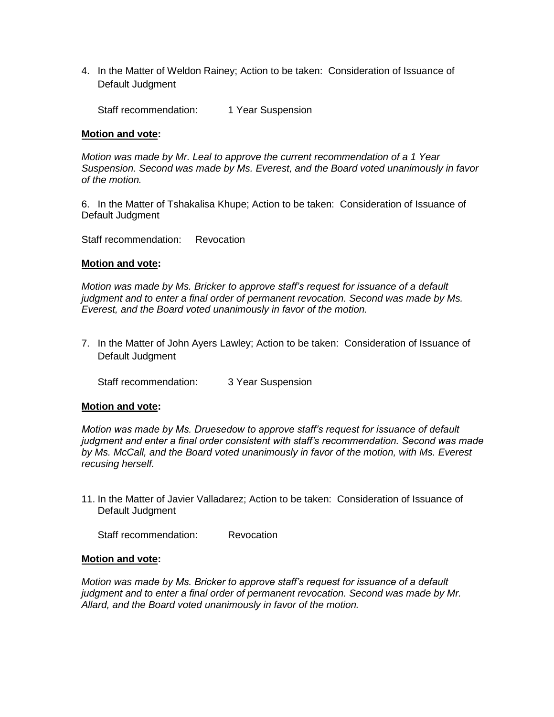4. In the Matter of Weldon Rainey; Action to be taken: Consideration of Issuance of Default Judgment

Staff recommendation: 1 Year Suspension

#### **Motion and vote:**

*Motion was made by Mr. Leal to approve the current recommendation of a 1 Year Suspension. Second was made by Ms. Everest, and the Board voted unanimously in favor of the motion.*

6. In the Matter of Tshakalisa Khupe; Action to be taken: Consideration of Issuance of Default Judgment

Staff recommendation: Revocation

#### **Motion and vote:**

*Motion was made by Ms. Bricker to approve staff's request for issuance of a default judgment and to enter a final order of permanent revocation. Second was made by Ms. Everest, and the Board voted unanimously in favor of the motion.*

7. In the Matter of John Ayers Lawley; Action to be taken: Consideration of Issuance of Default Judgment

Staff recommendation: 3 Year Suspension

#### **Motion and vote:**

*Motion was made by Ms. Druesedow to approve staff's request for issuance of default judgment and enter a final order consistent with staff's recommendation. Second was made by Ms. McCall, and the Board voted unanimously in favor of the motion, with Ms. Everest recusing herself.*

11. In the Matter of Javier Valladarez; Action to be taken: Consideration of Issuance of Default Judgment

Staff recommendation: Revocation

#### **Motion and vote:**

*Motion was made by Ms. Bricker to approve staff's request for issuance of a default judgment and to enter a final order of permanent revocation. Second was made by Mr. Allard, and the Board voted unanimously in favor of the motion.*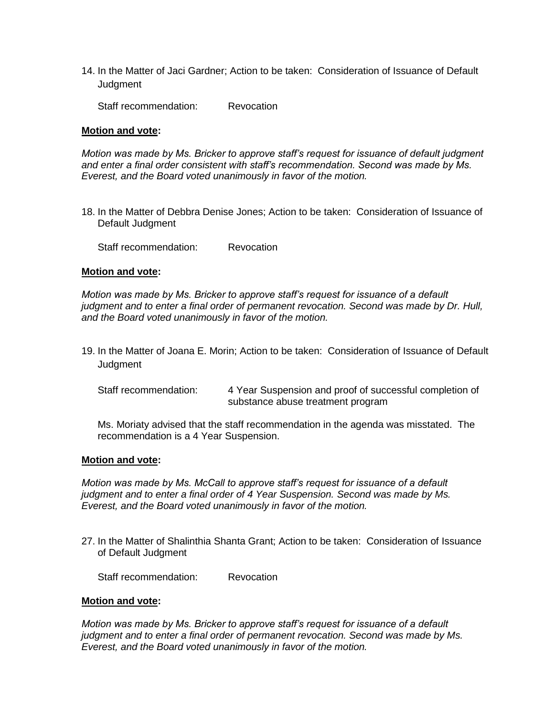14. In the Matter of Jaci Gardner; Action to be taken: Consideration of Issuance of Default **Judgment** 

Staff recommendation: Revocation

#### **Motion and vote:**

*Motion was made by Ms. Bricker to approve staff's request for issuance of default judgment and enter a final order consistent with staff's recommendation. Second was made by Ms. Everest, and the Board voted unanimously in favor of the motion.*

18. In the Matter of Debbra Denise Jones; Action to be taken: Consideration of Issuance of Default Judgment

Staff recommendation: Revocation

#### **Motion and vote:**

*Motion was made by Ms. Bricker to approve staff's request for issuance of a default judgment and to enter a final order of permanent revocation. Second was made by Dr. Hull, and the Board voted unanimously in favor of the motion.*

19. In the Matter of Joana E. Morin; Action to be taken: Consideration of Issuance of Default **Judgment** 

| Staff recommendation: | 4 Year Suspension and proof of successful completion of |
|-----------------------|---------------------------------------------------------|
|                       | substance abuse treatment program                       |

Ms. Moriaty advised that the staff recommendation in the agenda was misstated. The recommendation is a 4 Year Suspension.

#### **Motion and vote:**

*Motion was made by Ms. McCall to approve staff's request for issuance of a default judgment and to enter a final order of 4 Year Suspension. Second was made by Ms. Everest, and the Board voted unanimously in favor of the motion.*

27. In the Matter of Shalinthia Shanta Grant; Action to be taken: Consideration of Issuance of Default Judgment

Staff recommendation: Revocation

#### **Motion and vote:**

*Motion was made by Ms. Bricker to approve staff's request for issuance of a default judgment and to enter a final order of permanent revocation. Second was made by Ms. Everest, and the Board voted unanimously in favor of the motion.*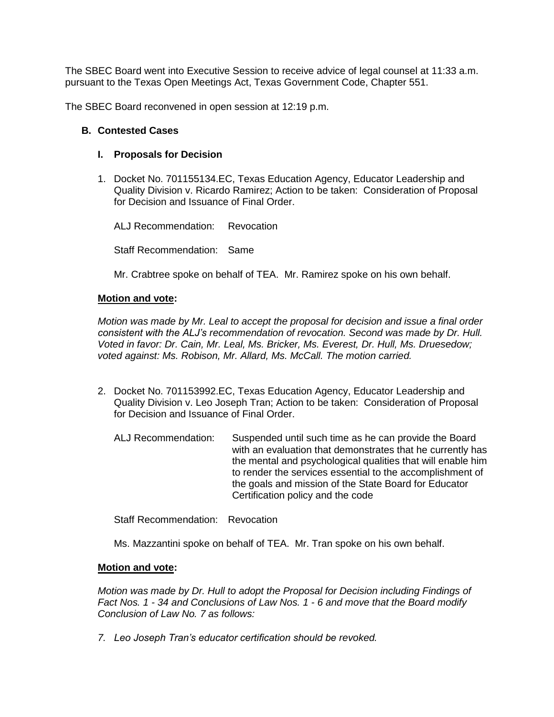The SBEC Board went into Executive Session to receive advice of legal counsel at 11:33 a.m. pursuant to the Texas Open Meetings Act, Texas Government Code, Chapter 551.

The SBEC Board reconvened in open session at 12:19 p.m.

#### **B. Contested Cases**

## **I. Proposals for Decision**

1. Docket No. 701155134.EC, Texas Education Agency, Educator Leadership and Quality Division v. Ricardo Ramirez; Action to be taken: Consideration of Proposal for Decision and Issuance of Final Order.

ALJ Recommendation: Revocation Staff Recommendation: Same

Mr. Crabtree spoke on behalf of TEA. Mr. Ramirez spoke on his own behalf.

## **Motion and vote:**

*Motion was made by Mr. Leal to accept the proposal for decision and issue a final order consistent with the ALJ's recommendation of revocation. Second was made by Dr. Hull. Voted in favor: Dr. Cain, Mr. Leal, Ms. Bricker, Ms. Everest, Dr. Hull, Ms. Druesedow; voted against: Ms. Robison, Mr. Allard, Ms. McCall. The motion carried.*

- 2. Docket No. 701153992.EC, Texas Education Agency, Educator Leadership and Quality Division v. Leo Joseph Tran; Action to be taken: Consideration of Proposal for Decision and Issuance of Final Order.
	- ALJ Recommendation: Suspended until such time as he can provide the Board with an evaluation that demonstrates that he currently has the mental and psychological qualities that will enable him to render the services essential to the accomplishment of the goals and mission of the State Board for Educator Certification policy and the code

Staff Recommendation: Revocation

Ms. Mazzantini spoke on behalf of TEA. Mr. Tran spoke on his own behalf.

#### **Motion and vote:**

*Motion was made by Dr. Hull to adopt the Proposal for Decision including Findings of Fact Nos. 1 - 34 and Conclusions of Law Nos. 1 - 6 and move that the Board modify Conclusion of Law No. 7 as follows:*

*7. Leo Joseph Tran's educator certification should be revoked.*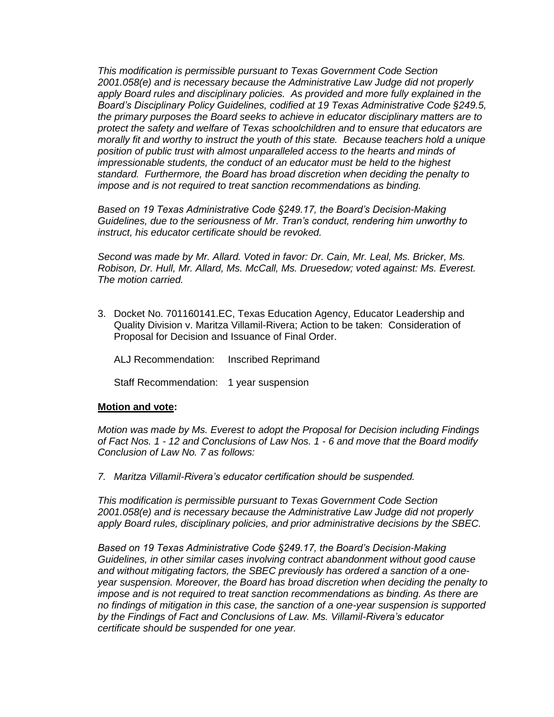*This modification is permissible pursuant to Texas Government Code Section 2001.058(e) and is necessary because the Administrative Law Judge did not properly apply Board rules and disciplinary policies. As provided and more fully explained in the Board's Disciplinary Policy Guidelines, codified at 19 Texas Administrative Code §249.5, the primary purposes the Board seeks to achieve in educator disciplinary matters are to protect the safety and welfare of Texas schoolchildren and to ensure that educators are morally fit and worthy to instruct the youth of this state. Because teachers hold a unique*  position of public trust with almost unparalleled access to the hearts and minds of *impressionable students, the conduct of an educator must be held to the highest standard. Furthermore, the Board has broad discretion when deciding the penalty to impose and is not required to treat sanction recommendations as binding.*

*Based on 19 Texas Administrative Code §249.17, the Board's Decision-Making Guidelines, due to the seriousness of Mr. Tran's conduct, rendering him unworthy to instruct, his educator certificate should be revoked.*

*Second was made by Mr. Allard. Voted in favor: Dr. Cain, Mr. Leal, Ms. Bricker, Ms. Robison, Dr. Hull, Mr. Allard, Ms. McCall, Ms. Druesedow; voted against: Ms. Everest. The motion carried.*

3. Docket No. 701160141.EC, Texas Education Agency, Educator Leadership and Quality Division v. Maritza Villamil-Rivera; Action to be taken: Consideration of Proposal for Decision and Issuance of Final Order.

ALJ Recommendation: Inscribed Reprimand

Staff Recommendation: 1 year suspension

#### **Motion and vote:**

*Motion was made by Ms. Everest to adopt the Proposal for Decision including Findings of Fact Nos. 1 - 12 and Conclusions of Law Nos. 1 - 6 and move that the Board modify Conclusion of Law No. 7 as follows:*

*7. Maritza Villamil-Rivera's educator certification should be suspended.* 

*This modification is permissible pursuant to Texas Government Code Section 2001.058(e) and is necessary because the Administrative Law Judge did not properly apply Board rules, disciplinary policies, and prior administrative decisions by the SBEC.* 

*Based on 19 Texas Administrative Code §249.17, the Board's Decision-Making Guidelines, in other similar cases involving contract abandonment without good cause and without mitigating factors, the SBEC previously has ordered a sanction of a oneyear suspension. Moreover, the Board has broad discretion when deciding the penalty to impose and is not required to treat sanction recommendations as binding. As there are no findings of mitigation in this case, the sanction of a one-year suspension is supported by the Findings of Fact and Conclusions of Law. Ms. Villamil-Rivera's educator certificate should be suspended for one year.*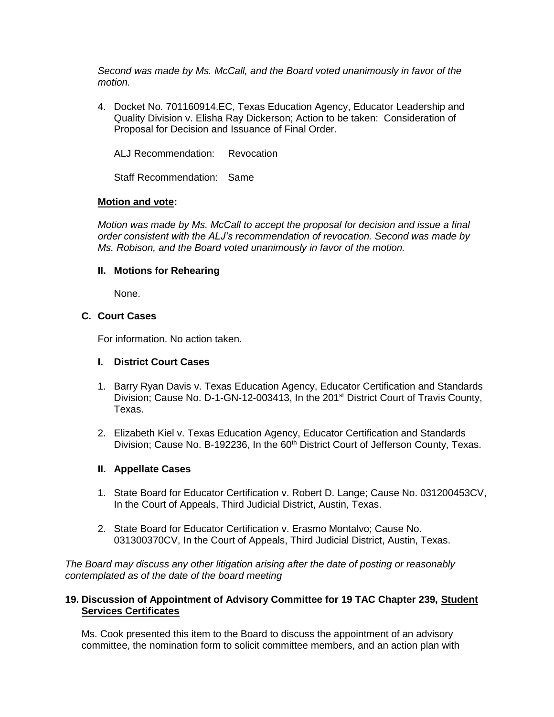*Second was made by Ms. McCall, and the Board voted unanimously in favor of the motion.*

4. Docket No. 701160914.EC, Texas Education Agency, Educator Leadership and Quality Division v. Elisha Ray Dickerson; Action to be taken: Consideration of Proposal for Decision and Issuance of Final Order.

ALJ Recommendation: Revocation

Staff Recommendation: Same

## **Motion and vote:**

*Motion was made by Ms. McCall to accept the proposal for decision and issue a final order consistent with the ALJ's recommendation of revocation. Second was made by Ms. Robison, and the Board voted unanimously in favor of the motion.*

#### **II. Motions for Rehearing**

None.

# **C. Court Cases**

For information. No action taken.

#### **I. District Court Cases**

- 1. Barry Ryan Davis v. Texas Education Agency, Educator Certification and Standards Division; Cause No. D-1-GN-12-003413, In the 201<sup>st</sup> District Court of Travis County, Texas.
- 2. Elizabeth Kiel v. Texas Education Agency, Educator Certification and Standards Division; Cause No. B-192236, In the 60<sup>th</sup> District Court of Jefferson County, Texas.

#### **II. Appellate Cases**

- 1. State Board for Educator Certification v. Robert D. Lange; Cause No. 031200453CV, In the Court of Appeals, Third Judicial District, Austin, Texas.
- 2. State Board for Educator Certification v. Erasmo Montalvo; Cause No. 031300370CV, In the Court of Appeals, Third Judicial District, Austin, Texas.

*The Board may discuss any other litigation arising after the date of posting or reasonably contemplated as of the date of the board meeting*

## **19. Discussion of Appointment of Advisory Committee for 19 TAC Chapter 239, Student Services Certificates**

Ms. Cook presented this item to the Board to discuss the appointment of an advisory committee, the nomination form to solicit committee members, and an action plan with